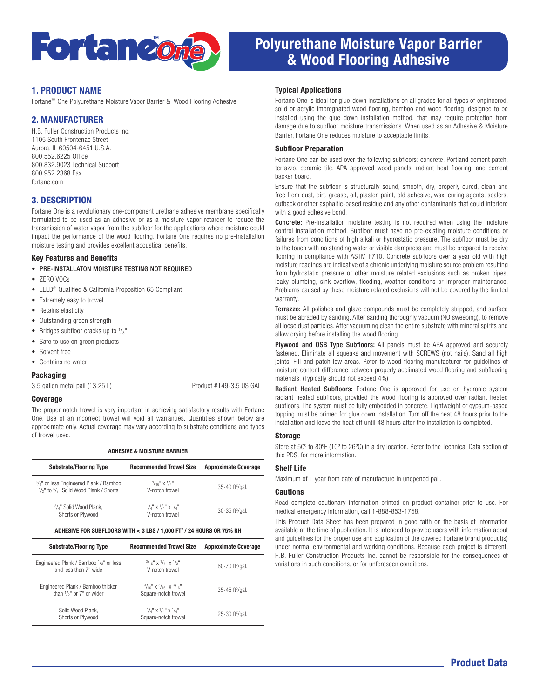

# Polyurethane Moisture Vapor Barrier & Wood Flooring Adhesive

### 1. PRODUCT NAME

Fortane™ One Polyurethane Moisture Vapor Barrier & Wood Flooring Adhesive

## 2. MANUFACTURER

H.B. Fuller Construction Products Inc. 1105 South Frontenac Street Aurora, IL 60504-6451 U.S.A. 800.552.6225 Office 800.832.9023 Technical Support 800.952.2368 Fax fortane.com

### 3. DESCRIPTION

Fortane One is a revolutionary one-component urethane adhesive membrane specifically formulated to be used as an adhesive or as a moisture vapor retarder to reduce the transmission of water vapor from the subfloor for the applications where moisture could impact the performance of the wood flooring. Fortane One requires no pre-installation moisture testing and provides excellent acoustical benefits.

#### Key Features and Benefits

- PRE-INSTALLATON MOISTURE TESTING NOT REQUIRED
- ZERO VOCs
- LEED® Qualified & California Proposition 65 Compliant
- Extremely easy to trowel
- Retains elasticity
- Outstanding green strength
- Bridges subfloor cracks up to  $\frac{1}{8}$ "
- Safe to use on green products
- Solvent free
- Contains no water

### **Packaging**

3.5 gallon metal pail (13.25 L) Product #149-3.5 US GAL

#### Coverage

The proper notch trowel is very important in achieving satisfactory results with Fortane One. Use of an incorrect trowel will void all warranties. Quantities shown below are approximate only. Actual coverage may vary according to substrate conditions and types of trowel used.

| <b>ADHESIVE &amp; MOISTURE BARRIER</b>                                                                                                          |                                                                                  |                                 |
|-------------------------------------------------------------------------------------------------------------------------------------------------|----------------------------------------------------------------------------------|---------------------------------|
| <b>Substrate/Flooring Type</b>                                                                                                                  | <b>Recommended Trowel Size</b>                                                   | <b>Approximate Coverage</b>     |
| <sup>5</sup> / <sub>8</sub> " or less Engineered Plank / Bamboo<br>1/ <sub>2</sub> " to <sup>5</sup> / <sub>8</sub> " Solid Wood Plank / Shorts | $\frac{3}{16}$ " X $\frac{1}{4}$ "<br>V-notch trowel                             | $35-40$ ft <sup>2</sup> /gal.   |
| <sup>3</sup> / <sub>4</sub> " Solid Wood Plank,<br>Shorts or Plywood                                                                            | $^{1}/_{4}$ " x $^{1}/_{4}$ " x $^{1}/_{4}$ "<br>V-notch trowel                  | $30-35$ ft <sup>2</sup> /gal.   |
|                                                                                                                                                 | ADHESIVE FOR SUBFLOORS WITH < 3 LBS / 1,000 FT <sup>2</sup> / 24 HOURS OR 75% RH |                                 |
| <b>Substrate/Flooring Type</b>                                                                                                                  | <b>Recommended Trowel Size</b>                                                   | <b>Approximate Coverage</b>     |
| Engineered Plank / Bamboo 1/2" or less<br>and less than 7" wide                                                                                 | $\frac{3}{16}$ x $\frac{1}{4}$ x $\frac{1}{5}$<br>V-notch trowel                 | 60-70 ft <sup>2</sup> /gal.     |
| Engineered Plank / Bamboo thicker<br>than $\frac{1}{2}$ " or 7" or wider                                                                        | $3/16$ " X $3/16$ " X $3/16$ "<br>Square-notch trowel                            | $35 - 45$ ft <sup>2</sup> /gal. |
| Solid Wood Plank,<br>Shorts or Plywood                                                                                                          | $^{1}/_{4}$ " x $^{1}/_{4}$ " x $^{1}/_{4}$ "<br>Square-notch trowel             | $25-30$ ft <sup>2</sup> /gal.   |

#### Typical Applications

Fortane One is ideal for glue-down installations on all grades for all types of engineered. solid or acrylic impregnated wood flooring, bamboo and wood flooring, designed to be installed using the glue down installation method, that may require protection from damage due to subfloor moisture transmissions. When used as an Adhesive & Moisture Barrier, Fortane One reduces moisture to acceptable limits.

#### Subfloor Preparation

Fortane One can be used over the following subfloors: concrete, Portland cement patch, terrazzo, ceramic tile, APA approved wood panels, radiant heat flooring, and cement backer board.

Ensure that the subfloor is structurally sound, smooth, dry, properly cured, clean and free from dust, dirt, grease, oil, plaster, paint, old adhesive, wax, curing agents, sealers, cutback or other asphaltic-based residue and any other contaminants that could interfere with a good adhesive bond.

Concrete: Pre-installation moisture testing is not required when using the moisture control installation method. Subfloor must have no pre-existing moisture conditions or failures from conditions of high alkali or hydrostatic pressure. The subfloor must be dry to the touch with no standing water or visible dampness and must be prepared to receive flooring in compliance with ASTM F710. Concrete subfloors over a year old with high moisture readings are indicative of a chronic underlying moisture source problem resulting from hydrostatic pressure or other moisture related exclusions such as broken pipes, leaky plumbing, sink overflow, flooding, weather conditions or improper maintenance. Problems caused by these moisture related exclusions will not be covered by the limited warranty.

Terrazzo: All polishes and glaze compounds must be completely stripped, and surface must be abraded by sanding. After sanding thoroughly vacuum (NO sweeping), to remove all loose dust particles. After vacuuming clean the entire substrate with mineral spirits and allow drying before installing the wood flooring.

Plywood and OSB Type Subfloors: All panels must be APA approved and securely fastened. Eliminate all squeaks and movement with SCREWS (not nails). Sand all high joints. Fill and patch low areas. Refer to wood flooring manufacturer for guidelines of moisture content difference between properly acclimated wood flooring and subflooring materials. (Typically should not exceed 4%)

Radiant Heated Subfloors: Fortane One is approved for use on hydronic system radiant heated subfloors, provided the wood flooring is approved over radiant heated subfloors. The system must be fully embedded in concrete. Lightweight or gypsum-based topping must be primed for glue down installation. Turn off the heat 48 hours prior to the installation and leave the heat off until 48 hours after the installation is completed.

#### **Storage**

Store at 50º to 80ºF (10º to 26ºC) in a dry location. Refer to the Technical Data section of this PDS, for more information.

### Shelf Life

Maximum of 1 year from date of manufacture in unopened pail.

#### Cautions

Read complete cautionary information printed on product container prior to use. For medical emergency information, call 1-888-853-1758.

This Product Data Sheet has been prepared in good faith on the basis of information available at the time of publication. It is intended to provide users with information about and guidelines for the proper use and application of the covered Fortane brand product(s) under normal environmental and working conditions. Because each project is different, H.B. Fuller Construction Products Inc. cannot be responsible for the consequences of variations in such conditions, or for unforeseen conditions.